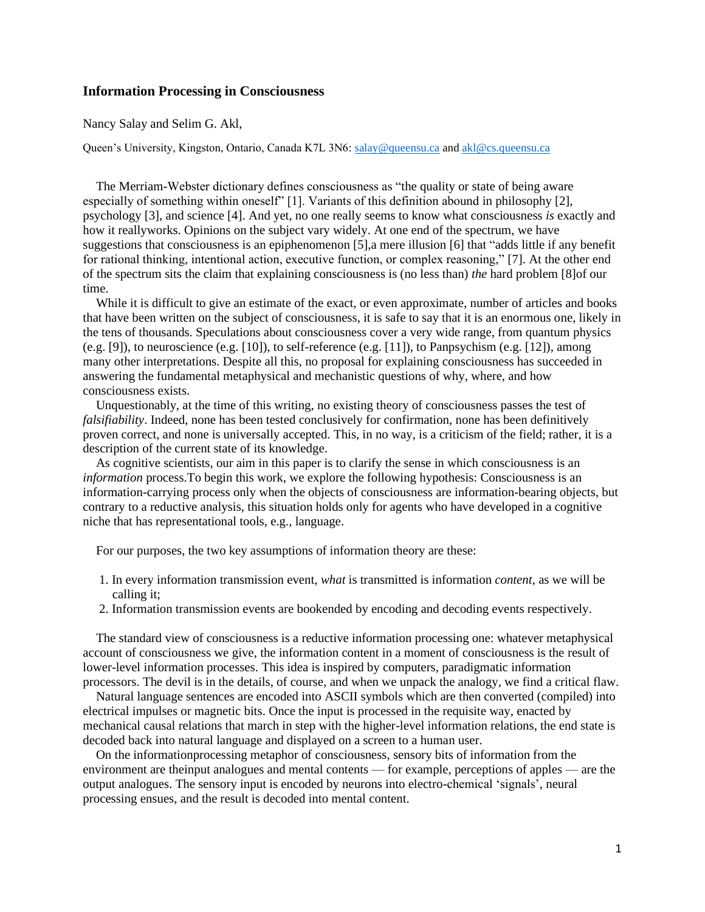## **Information Processing in Consciousness**

Nancy Salay and Selim G. Akl,

Queen's University, Kingston, Ontario, Canada K7L 3N6: [salay@queensu.ca](mailto:salay@queensu.ca) an[d akl@cs.queensu.ca](mailto:akl@cs.queensu.ca)

The Merriam-Webster dictionary defines consciousness as "the quality or state of being aware especially of something within oneself" [1]. Variants of this definition abound in philosophy [2], psychology [3], and science [4]. And yet, no one really seems to know what consciousness *is* exactly and how it reallyworks. Opinions on the subject vary widely. At one end of the spectrum, we have suggestions that consciousness is an epiphenomenon [5],a mere illusion [6] that "adds little if any benefit for rational thinking, intentional action, executive function, or complex reasoning," [7]. At the other end of the spectrum sits the claim that explaining consciousness is (no less than) *the* hard problem [8]of our time.

While it is difficult to give an estimate of the exact, or even approximate, number of articles and books that have been written on the subject of consciousness, it is safe to say that it is an enormous one, likely in the tens of thousands. Speculations about consciousness cover a very wide range, from quantum physics (e.g. [9]), to neuroscience (e.g. [10]), to self-reference (e.g. [11]), to Panpsychism (e.g. [12]), among many other interpretations. Despite all this, no proposal for explaining consciousness has succeeded in answering the fundamental metaphysical and mechanistic questions of why, where, and how consciousness exists.

Unquestionably, at the time of this writing, no existing theory of consciousness passes the test of *falsifiability*. Indeed, none has been tested conclusively for confirmation, none has been definitively proven correct, and none is universally accepted. This, in no way, is a criticism of the field; rather, it is a description of the current state of its knowledge.

As cognitive scientists, our aim in this paper is to clarify the sense in which consciousness is an *information* process.To begin this work, we explore the following hypothesis: Consciousness is an information-carrying process only when the objects of consciousness are information-bearing objects, but contrary to a reductive analysis, this situation holds only for agents who have developed in a cognitive niche that has representational tools, e.g., language.

For our purposes, the two key assumptions of information theory are these:

- 1. In every information transmission event, *what* is transmitted is information *content*, as we will be calling it;
- 2. Information transmission events are bookended by encoding and decoding events respectively.

The standard view of consciousness is a reductive information processing one: whatever metaphysical account of consciousness we give, the information content in a moment of consciousness is the result of lower-level information processes. This idea is inspired by computers, paradigmatic information processors. The devil is in the details, of course, and when we unpack the analogy, we find a critical flaw.

Natural language sentences are encoded into ASCII symbols which are then converted (compiled) into electrical impulses or magnetic bits. Once the input is processed in the requisite way, enacted by mechanical causal relations that march in step with the higher-level information relations, the end state is decoded back into natural language and displayed on a screen to a human user.

On the informationprocessing metaphor of consciousness, sensory bits of information from the environment are theinput analogues and mental contents — for example, perceptions of apples — are the output analogues. The sensory input is encoded by neurons into electro-chemical 'signals', neural processing ensues, and the result is decoded into mental content.